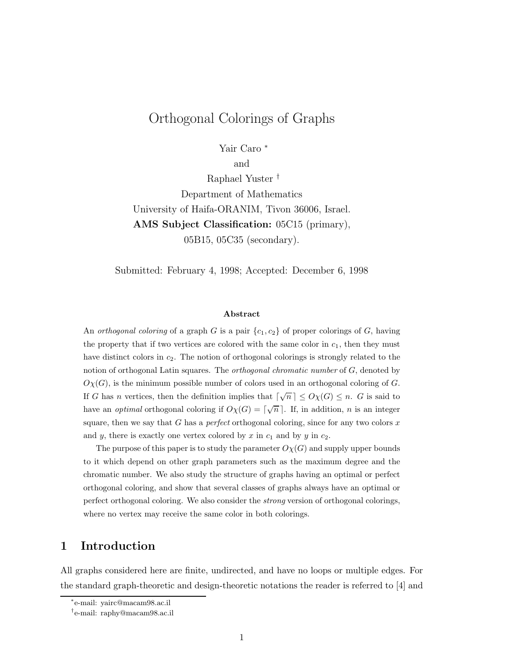# Orthogonal Colorings of Graphs

Yair Caro <sup>∗</sup>

and

Raphael Yuster † Department of Mathematics University of Haifa-ORANIM, Tivon 36006, Israel. **AMS Subject Classification:** 05C15 (primary), 05B15, 05C35 (secondary).

Submitted: February 4, 1998; Accepted: December 6, 1998

#### **Abstract**

An orthogonal coloring of a graph G is a pair  $\{c_1, c_2\}$  of proper colorings of G, having the property that if two vertices are colored with the same color in  $c_1$ , then they must have distinct colors in  $c_2$ . The notion of orthogonal colorings is strongly related to the notion of orthogonal Latin squares. The *orthogonal chromatic number* of G, denoted by  $O_{X}(G)$ , is the minimum possible number of colors used in an orthogonal coloring of G. If G has n vertices, then the definition implies that  $\lceil \sqrt{n} \rceil \le O_{\chi}(G) \le n$ . G is said to have an *optimal* orthogonal coloring if  $O\chi(G) = \lceil \sqrt{n} \rceil$ . If, in addition, *n* is an integer square, then we say that G has a *perfect* orthogonal coloring, since for any two colors  $x$ and y, there is exactly one vertex colored by x in  $c_1$  and by y in  $c_2$ .

The purpose of this paper is to study the parameter  $O_{\chi}(G)$  and supply upper bounds to it which depend on other graph parameters such as the maximum degree and the chromatic number. We also study the structure of graphs having an optimal or perfect orthogonal coloring, and show that several classes of graphs always have an optimal or perfect orthogonal coloring. We also consider the strong version of orthogonal colorings, where no vertex may receive the same color in both colorings.

## **1 Introduction**

All graphs considered here are finite, undirected, and have no loops or multiple edges. For the standard graph-theoretic and design-theoretic notations the reader is referred to [4] and

<sup>∗</sup>e-mail: yairc@macam98.ac.il

<sup>†</sup>e-mail: raphy@macam98.ac.il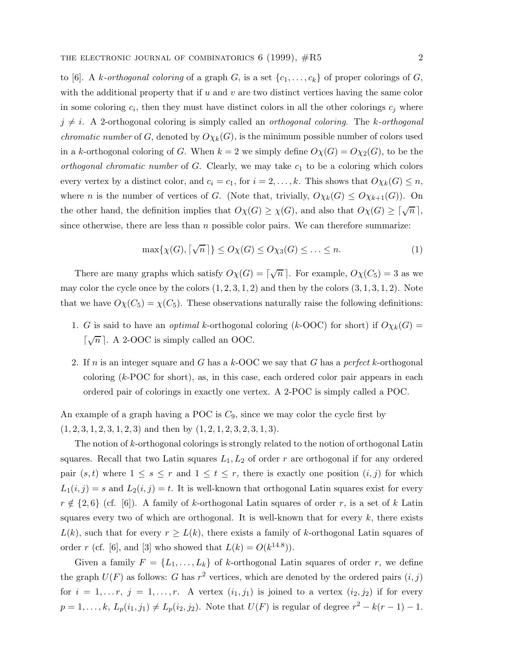to [6]. A k-orthogonal coloring of a graph G, is a set  $\{c_1,\ldots,c_k\}$  of proper colorings of G, with the additional property that if  $u$  and  $v$  are two distinct vertices having the same color in some coloring  $c_i$ , then they must have distinct colors in all the other colorings  $c_j$  where  $j \neq i$ . A 2-orthogonal coloring is simply called an *orthogonal coloring*. The k-orthogonal *chromatic number* of G, denoted by  $O_{\chi_k}(G)$ , is the minimum possible number of colors used in a k-orthogonal coloring of G. When  $k = 2$  we simply define  $O\chi(G) = O\chi_2(G)$ , to be the orthogonal chromatic number of  $G$ . Clearly, we may take  $c_1$  to be a coloring which colors every vertex by a distinct color, and  $c_i = c_1$ , for  $i = 2, ..., k$ . This shows that  $O\chi_k(G) \leq n$ , where *n* is the number of vertices of *G*. (Note that, trivially,  $O_{\chi_k}(G) \leq O_{\chi_{k+1}}(G)$ ). On the other hand, the definition implies that  $O_{\chi}(G) \geq \chi(G)$ , and also that  $O_{\chi}(G) \geq \lceil \sqrt{n} \rceil$ , since otherwise, there are less than  $n$  possible color pairs. We can therefore summarize:

$$
\max\{\chi(G), \lceil \sqrt{n} \rceil\} \le O\chi(G) \le O\chi_3(G) \le \ldots \le n. \tag{1}
$$

There are many graphs which satisfy  $O\chi(G) = \lceil \sqrt{n} \rceil$ . For example,  $O\chi(C_5) = 3$  as we may color the cycle once by the colors  $(1, 2, 3, 1, 2)$  and then by the colors  $(3, 1, 3, 1, 2)$ . Note that we have  $O\chi(C_5) = \chi(C_5)$ . These observations naturally raise the following definitions:

- 1. G is said to have an *optimal* k-orthogonal coloring (k-OOC) for short) if  $O_{\chi_k}(G)$  =  $\lceil \sqrt{n} \rceil$ . A 2-OOC is simply called an OOC.
- 2. If n is an integer square and G has a  $k$ -OOC we say that G has a perfect k-orthogonal coloring  $(k-POC)$  for short), as, in this case, each ordered color pair appears in each ordered pair of colorings in exactly one vertex. A 2-POC is simply called a POC.

An example of a graph having a POC is  $C_9$ , since we may color the cycle first by  $(1, 2, 3, 1, 2, 3, 1, 2, 3)$  and then by  $(1, 2, 1, 2, 3, 2, 3, 1, 3)$ .

The notion of k-orthogonal colorings is strongly related to the notion of orthogonal Latin squares. Recall that two Latin squares  $L_1, L_2$  of order r are orthogonal if for any ordered pair  $(s,t)$  where  $1 \leq s \leq r$  and  $1 \leq t \leq r$ , there is exactly one position  $(i, j)$  for which  $L_1(i,j) = s$  and  $L_2(i,j) = t$ . It is well-known that orthogonal Latin squares exist for every  $r \notin \{2, 6\}$  (cf. [6]). A family of k-orthogonal Latin squares of order r, is a set of k Latin squares every two of which are orthogonal. It is well-known that for every  $k$ , there exists  $L(k)$ , such that for every  $r \ge L(k)$ , there exists a family of k-orthogonal Latin squares of order r (cf. [6], and [3] who showed that  $L(k) = O(k^{14.8})$ ).

Given a family  $F = \{L_1, \ldots, L_k\}$  of k-orthogonal Latin squares of order r, we define the graph  $U(F)$  as follows: G has  $r^2$  vertices, which are denoted by the ordered pairs  $(i,j)$ for  $i = 1, \ldots r$ ,  $j = 1, \ldots, r$ . A vertex  $(i_1, j_1)$  is joined to a vertex  $(i_2, j_2)$  if for every  $p = 1, \ldots, k, L_p(i_1, j_1) \neq L_p(i_2, j_2)$ . Note that  $U(F)$  is regular of degree  $r^2 - k(r - 1) - 1$ .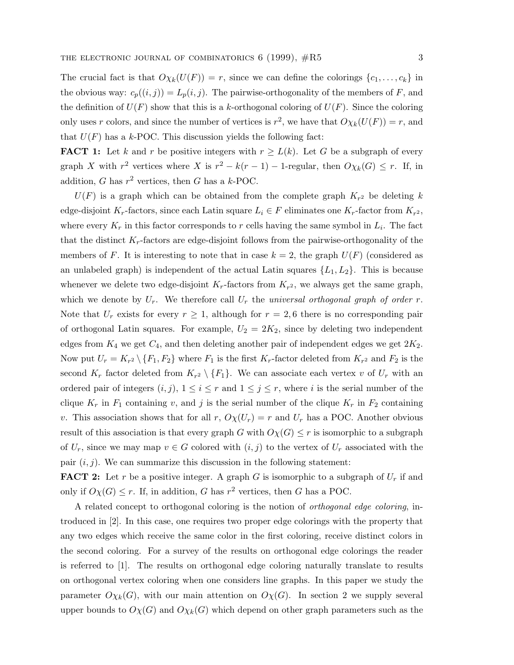The crucial fact is that  $O\chi_k(U(F)) = r$ , since we can define the colorings  $\{c_1,\ldots,c_k\}$  in the obvious way:  $c_p((i,j)) = L_p(i,j)$ . The pairwise-orthogonality of the members of F, and the definition of  $U(F)$  show that this is a k-orthogonal coloring of  $U(F)$ . Since the coloring only uses r colors, and since the number of vertices is  $r^2$ , we have that  $O\chi_k(U(F)) = r$ , and that  $U(F)$  has a k-POC. This discussion yields the following fact:

**FACT 1:** Let k and r be positive integers with  $r \ge L(k)$ . Let G be a subgraph of every graph X with  $r^2$  vertices where X is  $r^2 - k(r - 1) - 1$ -regular, then  $O_{\chi_k}(G) \leq r$ . If, in addition, G has  $r^2$  vertices, then G has a k-POC.

 $U(F)$  is a graph which can be obtained from the complete graph  $K_{r^2}$  be deleting k edge-disjoint K<sub>r</sub>-factors, since each Latin square  $L_i \in F$  eliminates one K<sub>r</sub>-factor from  $K_{r^2}$ , where every  $K_r$  in this factor corresponds to r cells having the same symbol in  $L_i$ . The fact that the distinct  $K_r$ -factors are edge-disjoint follows from the pairwise-orthogonality of the members of F. It is interesting to note that in case  $k = 2$ , the graph  $U(F)$  (considered as an unlabeled graph) is independent of the actual Latin squares  $\{L_1, L_2\}$ . This is because whenever we delete two edge-disjoint  $K_r$ -factors from  $K_{r^2}$ , we always get the same graph, which we denote by  $U_r$ . We therefore call  $U_r$  the universal orthogonal graph of order r. Note that  $U_r$  exists for every  $r \geq 1$ , although for  $r = 2, 6$  there is no corresponding pair of orthogonal Latin squares. For example,  $U_2 = 2K_2$ , since by deleting two independent edges from  $K_4$  we get  $C_4$ , and then deleting another pair of independent edges we get  $2K_2$ . Now put  $U_r = K_{r^2} \setminus \{F_1, F_2\}$  where  $F_1$  is the first  $K_r$ -factor deleted from  $K_{r^2}$  and  $F_2$  is the second  $K_r$  factor deleted from  $K_{r^2} \setminus \{F_1\}$ . We can associate each vertex v of  $U_r$  with an ordered pair of integers  $(i, j)$ ,  $1 \leq i \leq r$  and  $1 \leq j \leq r$ , where i is the serial number of the clique  $K_r$  in  $F_1$  containing v, and j is the serial number of the clique  $K_r$  in  $F_2$  containing v. This association shows that for all r,  $O\chi(U_r) = r$  and  $U_r$  has a POC. Another obvious result of this association is that every graph G with  $O(\chi) \leq r$  is isomorphic to a subgraph of  $U_r$ , since we may map  $v \in G$  colored with  $(i, j)$  to the vertex of  $U_r$  associated with the pair  $(i, j)$ . We can summarize this discussion in the following statement:

**FACT 2:** Let r be a positive integer. A graph G is isomorphic to a subgraph of  $U_r$  if and only if  $O_{X}(G) \leq r$ . If, in addition, G has r<sup>2</sup> vertices, then G has a POC.

A related concept to orthogonal coloring is the notion of orthogonal edge coloring, introduced in [2]. In this case, one requires two proper edge colorings with the property that any two edges which receive the same color in the first coloring, receive distinct colors in the second coloring. For a survey of the results on orthogonal edge colorings the reader is referred to [1]. The results on orthogonal edge coloring naturally translate to results on orthogonal vertex coloring when one considers line graphs. In this paper we study the parameter  $O_{\chi_k}(G)$ , with our main attention on  $O_{\chi}(G)$ . In section 2 we supply several upper bounds to  $O_{\chi}(G)$  and  $O_{\chi}(G)$  which depend on other graph parameters such as the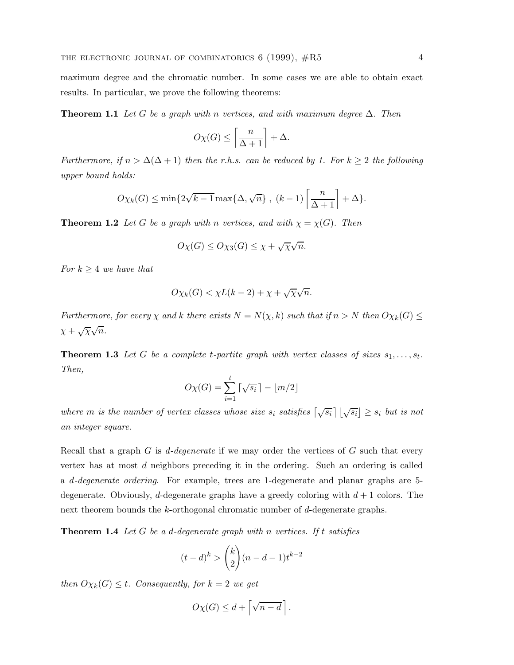maximum degree and the chromatic number. In some cases we are able to obtain exact results. In particular, we prove the following theorems:

**Theorem 1.1** Let G be a graph with n vertices, and with maximum degree  $\Delta$ . Then

$$
O\chi(G)\leq \left\lceil\frac{n}{\Delta+1}\right\rceil+\Delta.
$$

Furthermore, if  $n > \Delta(\Delta + 1)$  then the r.h.s. can be reduced by 1. For  $k \geq 2$  the following upper bound holds:

$$
O\chi_k(G) \le \min\{2\sqrt{k-1}\max\{\Delta,\sqrt{n}\},\ (k-1)\left\lceil\frac{n}{\Delta+1}\right\rceil + \Delta\}.
$$

**Theorem 1.2** Let G be a graph with n vertices, and with  $\chi = \chi(G)$ . Then

$$
O\chi(G) \le O\chi_3(G) \le \chi + \sqrt{\chi}\sqrt{n}.
$$

For  $k \geq 4$  we have that

$$
O\chi_k(G) < \chi L(k-2) + \chi + \sqrt{\chi}\sqrt{n}.
$$

Furthermore, for every  $\chi$  and k there exists  $N = N(\chi, k)$  such that if  $n > N$  then  $O\chi_k(G) \le$  $\chi + \sqrt{\chi} \sqrt{n}$ .

**Theorem 1.3** Let G be a complete t-partite graph with vertex classes of sizes  $s_1, \ldots, s_t$ . Then,

$$
O\chi(G) = \sum_{i=1}^{t} \lceil \sqrt{s_i} \rceil - \lfloor m/2 \rfloor
$$

where m is the number of vertex classes whose size  $s_i$  satisfies  $\left[\sqrt{s_i}\right] \lfloor \sqrt{s_i} \rfloor \geq s_i$  but is not an integer square.

Recall that a graph  $G$  is d-degenerate if we may order the vertices of  $G$  such that every vertex has at most d neighbors preceding it in the ordering. Such an ordering is called a d-degenerate ordering. For example, trees are 1-degenerate and planar graphs are 5 degenerate. Obviously, d-degenerate graphs have a greedy coloring with  $d+1$  colors. The next theorem bounds the k-orthogonal chromatic number of d-degenerate graphs.

**Theorem 1.4** Let G be a d-degenerate graph with n vertices. If t satisfies

$$
(t-d)^k > {k \choose 2} (n-d-1)t^{k-2}
$$

then  $O_{\chi_k}(G) \leq t$ . Consequently, for  $k = 2$  we get

$$
O\chi(G) \leq d + \left\lceil \sqrt{n-d} \right\rceil.
$$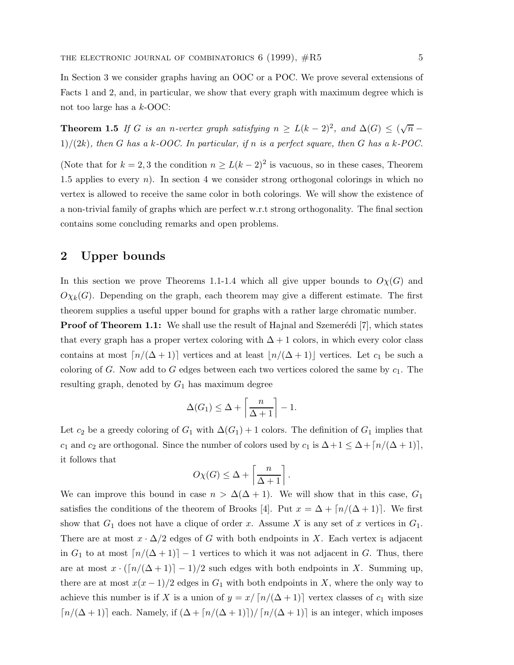In Section 3 we consider graphs having an OOC or a POC. We prove several extensions of Facts 1 and 2, and, in particular, we show that every graph with maximum degree which is not too large has a k-OOC:

**Theorem 1.5** If G is an n-vertex graph satisfying  $n \ge L(k-2)^2$ , and  $\Delta(G) \le (\sqrt{n} 1)/(2k)$ , then G has a k-OOC. In particular, if n is a perfect square, then G has a k-POC.

(Note that for  $k = 2, 3$  the condition  $n \ge L(k-2)^2$  is vacuous, so in these cases, Theorem 1.5 applies to every  $n$ ). In section 4 we consider strong orthogonal colorings in which no vertex is allowed to receive the same color in both colorings. We will show the existence of a non-trivial family of graphs which are perfect w.r.t strong orthogonality. The final section contains some concluding remarks and open problems.

### **2 Upper bounds**

In this section we prove Theorems 1.1-1.4 which all give upper bounds to  $O\chi(G)$  and  $O_{X_k}(G)$ . Depending on the graph, each theorem may give a different estimate. The first theorem supplies a useful upper bound for graphs with a rather large chromatic number.

**Proof of Theorem 1.1:** We shall use the result of Hajnal and Szemerédi [7], which states that every graph has a proper vertex coloring with  $\Delta + 1$  colors, in which every color class contains at most  $\lceil n/(\Delta + 1)\rceil$  vertices and at least  $\lfloor n/(\Delta + 1)\rfloor$  vertices. Let  $c_1$  be such a coloring of G. Now add to G edges between each two vertices colored the same by  $c_1$ . The resulting graph, denoted by  $G_1$  has maximum degree

$$
\Delta(G_1) \le \Delta + \left\lceil \frac{n}{\Delta + 1} \right\rceil - 1.
$$

Let  $c_2$  be a greedy coloring of  $G_1$  with  $\Delta(G_1) + 1$  colors. The definition of  $G_1$  implies that c<sub>1</sub> and c<sub>2</sub> are orthogonal. Since the number of colors used by c<sub>1</sub> is  $\Delta + 1 \leq \Delta + \lceil n/(\Delta + 1) \rceil$ , it follows that

$$
O\chi(G) \le \Delta + \left\lceil \frac{n}{\Delta + 1} \right\rceil.
$$

We can improve this bound in case  $n > \Delta(\Delta + 1)$ . We will show that in this case,  $G_1$ satisfies the conditions of the theorem of Brooks [4]. Put  $x = \Delta + \lfloor n/(\Delta + 1) \rfloor$ . We first show that  $G_1$  does not have a clique of order x. Assume X is any set of x vertices in  $G_1$ . There are at most  $x \cdot \Delta/2$  edges of G with both endpoints in X. Each vertex is adjacent in  $G_1$  to at most  $\lceil n/(\Delta+1)\rceil-1$  vertices to which it was not adjacent in G. Thus, there are at most  $x \cdot (\lceil n/(\Delta + 1) \rceil - 1)/2$  such edges with both endpoints in X. Summing up, there are at most  $x(x-1)/2$  edges in  $G_1$  with both endpoints in X, where the only way to achieve this number is if X is a union of  $y = x/\lceil n/(\Delta + 1)\rceil$  vertex classes of  $c_1$  with size  $\lceil n/(\Delta+1) \rceil$  each. Namely, if  $(\Delta + \lceil n/(\Delta+1) \rceil)/\lceil n/(\Delta+1) \rceil$  is an integer, which imposes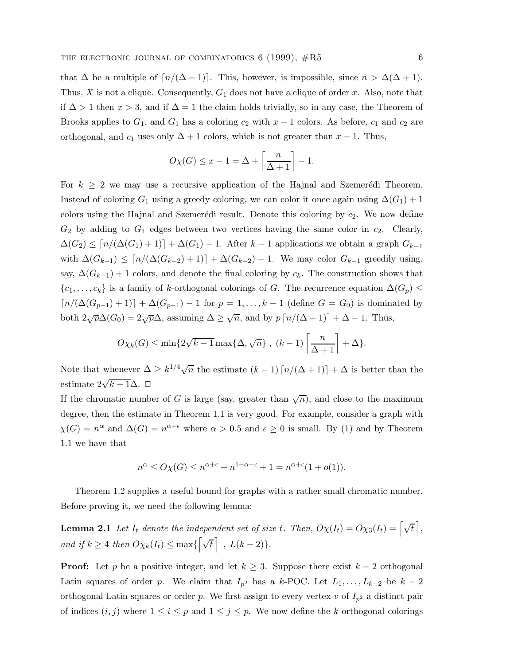that  $\Delta$  be a multiple of  $\lceil n/(\Delta + 1) \rceil$ . This, however, is impossible, since  $n > \Delta(\Delta + 1)$ . Thus,  $X$  is not a clique. Consequently,  $G_1$  does not have a clique of order  $x$ . Also, note that if  $\Delta > 1$  then  $x > 3$ , and if  $\Delta = 1$  the claim holds trivially, so in any case, the Theorem of Brooks applies to  $G_1$ , and  $G_1$  has a coloring  $c_2$  with  $x - 1$  colors. As before,  $c_1$  and  $c_2$  are orthogonal, and  $c_1$  uses only  $\Delta + 1$  colors, which is not greater than  $x - 1$ . Thus,

$$
O\chi(G) \le x - 1 = \Delta + \left\lceil \frac{n}{\Delta + 1} \right\rceil - 1.
$$

For  $k \geq 2$  we may use a recursive application of the Hajnal and Szemerédi Theorem. Instead of coloring  $G_1$  using a greedy coloring, we can color it once again using  $\Delta(G_1)+1$ colors using the Hajnal and Szemerédi result. Denote this coloring by  $c_2$ . We now define  $G_2$  by adding to  $G_1$  edges between two vertices having the same color in  $c_2$ . Clearly,  $\Delta(G_2) \leq [n/(\Delta(G_1) + 1)] + \Delta(G_1) - 1$ . After k – 1 applications we obtain a graph  $G_{k-1}$ with  $\Delta(G_{k-1}) \leq \lceil n/(\Delta(G_{k-2})+1)\rceil + \Delta(G_{k-2}) - 1$ . We may color  $G_{k-1}$  greedily using, say,  $\Delta(G_{k-1}) + 1$  colors, and denote the final coloring by  $c_k$ . The construction shows that  $\{c_1,\ldots,c_k\}$  is a family of k-orthogonal colorings of G. The recurrence equation  $\Delta(G_p) \leq$  $\lceil n/(\Delta(G_{p-1}) + 1) \rceil + \Delta(G_{p-1}) - 1$  for  $p = 1, ..., k - 1$  (define  $G = G_0$ ) is dominated by both  $2\sqrt{p}\Delta(G_0)=2\sqrt{p}\Delta$ , assuming  $\Delta \geq \sqrt{n}$ , and by  $p\left\lceil n/(\Delta+1)\right\rceil+\Delta-1$ . Thus,

$$
O\chi_k(G) \le \min\{2\sqrt{k-1}\max\{\Delta,\sqrt{n}\}, (k-1)\left\lceil\frac{n}{\Delta+1}\right\rceil + \Delta\}.
$$

Note that whenever  $\Delta \geq k^{1/4}\sqrt{n}$  the estimate  $(k-1)\lceil n/(\Delta+1)\rceil + \Delta$  is better than the estimate  $2\sqrt{k-1}\Delta$ . □

If the chromatic number of G is large (say, greater than  $\sqrt{n}$ ), and close to the maximum degree, then the estimate in Theorem 1.1 is very good. For example, consider a graph with  $\chi(G) = n^{\alpha}$  and  $\Delta(G) = n^{\alpha+\epsilon}$  where  $\alpha > 0.5$  and  $\epsilon \geq 0$  is small. By (1) and by Theorem 1.1 we have that

$$
n^{\alpha} \le O\chi(G) \le n^{\alpha+\epsilon} + n^{1-\alpha-\epsilon} + 1 = n^{\alpha+\epsilon}(1+o(1)).
$$

Theorem 1.2 supplies a useful bound for graphs with a rather small chromatic number. Before proving it, we need the following lemma:

**Lemma 2.1** Let  $I_t$  denote the independent set of size t. Then,  $O\chi(I_t) = O\chi_3(I_t) = \left[\sqrt{t}\right]$ , and if  $k \geq 4$  then  $O_{\chi_k}(I_t) \leq \max\{\lceil \sqrt{t} \rceil, L(k-2)\}.$ 

**Proof:** Let p be a positive integer, and let  $k \geq 3$ . Suppose there exist  $k-2$  orthogonal Latin squares of order p. We claim that  $I_{p^2}$  has a k-POC. Let  $L_1,\ldots,L_{k-2}$  be  $k-2$ orthogonal Latin squares or order p. We first assign to every vertex v of  $I_{p^2}$  a distinct pair of indices  $(i, j)$  where  $1 \leq i \leq p$  and  $1 \leq j \leq p$ . We now define the k orthogonal colorings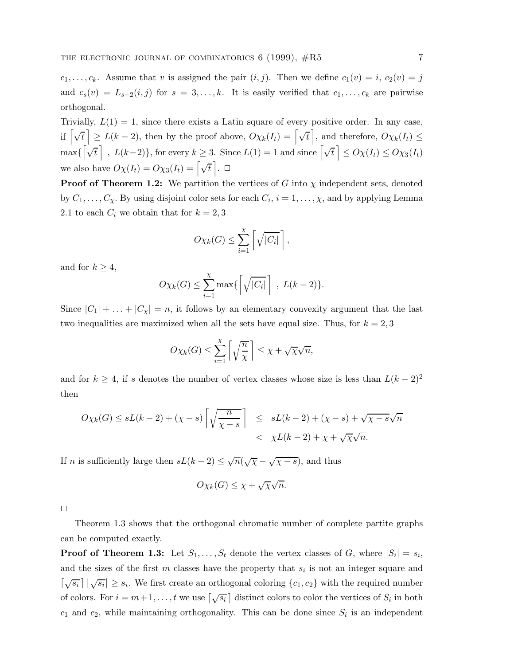$c_1,\ldots,c_k$ . Assume that v is assigned the pair  $(i, j)$ . Then we define  $c_1(v) = i$ ,  $c_2(v) = j$ and  $c_s(v) = L_{s-2}(i,j)$  for  $s = 3,\ldots,k$ . It is easily verified that  $c_1,\ldots,c_k$  are pairwise orthogonal.

Trivially,  $L(1) = 1$ , since there exists a Latin square of every positive order. In any case, if  $\begin{bmatrix} \sqrt{t} \end{bmatrix} \ge L(k-2)$ , then by the proof above,  $O\chi_k(I_t) = \begin{bmatrix} \sqrt{t} \end{bmatrix}$ , and therefore,  $O\chi_k(I_t) \le$  $\max\{\left[\sqrt{t}\right], L(k-2)\}\$ , for every  $k \geq 3$ . Since  $L(1) = 1$  and since  $\left[\sqrt{t}\right] \leq O\chi(I_t) \leq O\chi_3(I_t)$ we also have  $O_{\chi}(I_t) = O_{\chi_3}(I_t) = \left[\sqrt{t}\right]$ .  $\Box$ 

**Proof of Theorem 1.2:** We partition the vertices of G into  $\chi$  independent sets, denoted by  $C_1, \ldots, C_{\chi}$ . By using disjoint color sets for each  $C_i$ ,  $i = 1, \ldots, \chi$ , and by applying Lemma 2.1 to each  $C_i$  we obtain that for  $k = 2, 3$ 

$$
O\chi_k(G) \leq \sum_{i=1}^{\chi} \left[ \sqrt{|C_i|} \right],
$$

and for  $k \geq 4$ ,

$$
O\chi_k(G) \leq \sum_{i=1}^{\chi} \max\left\{ \left[ \sqrt{|C_i|} \right], L(k-2) \right\}.
$$

Since  $|C_1| + \ldots + |C_{\chi}| = n$ , it follows by an elementary convexity argument that the last two inequalities are maximized when all the sets have equal size. Thus, for  $k = 2, 3$ 

$$
O\chi_k(G) \leq \sum_{i=1}^{\chi} \left\lceil \sqrt{\frac{n}{\chi}} \right\rceil \leq \chi + \sqrt{\chi}\sqrt{n},
$$

and for  $k \geq 4$ , if s denotes the number of vertex classes whose size is less than  $L(k-2)^2$ then

$$
O\chi_k(G) \le sL(k-2) + (\chi - s) \left[ \sqrt{\frac{n}{\chi - s}} \right] \le sL(k-2) + (\chi - s) + \sqrt{\chi - s} \sqrt{n}
$$
  
<  $\chi L(k-2) + \chi + \sqrt{\chi} \sqrt{n}.$ 

If *n* is sufficiently large then  $sL(k-2) \leq \sqrt{n}(\sqrt{\chi} - \sqrt{\chi - s})$ , and thus

$$
O\chi_k(G) \leq \chi + \sqrt{\chi}\sqrt{n}.
$$

Theorem 1.3 shows that the orthogonal chromatic number of complete partite graphs can be computed exactly.

**Proof of Theorem 1.3:** Let  $S_1, \ldots, S_t$  denote the vertex classes of G, where  $|S_i| = s_i$ , and the sizes of the first  $m$  classes have the property that  $s_i$  is not an integer square and  $\left[\sqrt{s_i}\right] \lfloor \sqrt{s_i} \rfloor \geq s_i$ . We first create an orthogonal coloring  $\{c_1, c_2\}$  with the required number of colors. For  $i = m+1, \ldots, t$  we use  $\left[\sqrt{s_i}\right]$  distinct colors to color the vertices of  $S_i$  in both  $c_1$  and  $c_2$ , while maintaining orthogonality. This can be done since  $S_i$  is an independent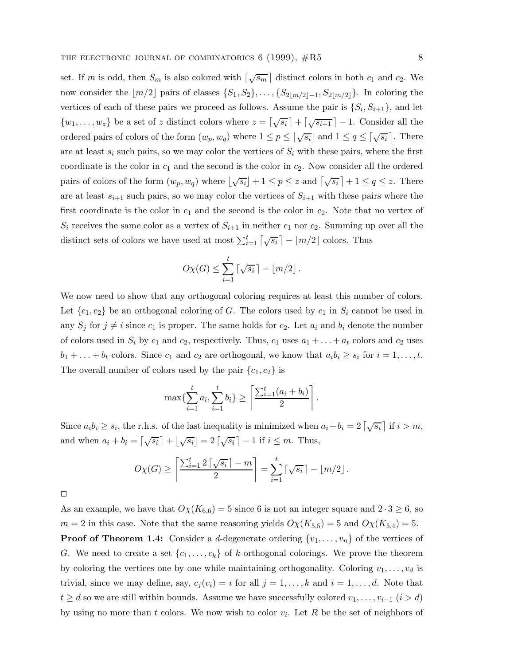set. If m is odd, then  $S_m$  is also colored with  $\left[\sqrt{s_m}\right]$  distinct colors in both  $c_1$  and  $c_2$ . We now consider the  $\lfloor m/2 \rfloor$  pairs of classes  $\{S_1, S_2\}, \ldots, \{S_{2\lfloor m/2 \rfloor-1}, S_{2\lfloor m/2 \rfloor}\}\.$  In coloring the vertices of each of these pairs we proceed as follows. Assume the pair is  $\{S_i, S_{i+1}\}\$ , and let  $\{w_1,\ldots,w_z\}$  be a set of z distinct colors where  $z = \lfloor\sqrt{s_i}\rfloor + \lfloor\sqrt{s_{i+1}}\rfloor - 1$ . Consider all the ordered pairs of colors of the form  $(w_p, w_q)$  where  $1 \le p \le \lfloor \sqrt{s_i} \rfloor$  and  $1 \le q \le \lceil \sqrt{s_i} \rceil$ . There are at least  $s_i$  such pairs, so we may color the vertices of  $S_i$  with these pairs, where the first coordinate is the color in  $c_1$  and the second is the color in  $c_2$ . Now consider all the ordered pairs of colors of the form  $(w_p, w_q)$  where  $\lfloor \sqrt{s_i} \rfloor + 1 \le p \le z$  and  $\lceil \sqrt{s_i} \rceil + 1 \le q \le z$ . There are at least  $s_{i+1}$  such pairs, so we may color the vertices of  $S_{i+1}$  with these pairs where the first coordinate is the color in  $c_1$  and the second is the color in  $c_2$ . Note that no vertex of  $S_i$  receives the same color as a vertex of  $S_{i+1}$  in neither  $c_1$  nor  $c_2$ . Summing up over all the distinct sets of colors we have used at most  $\sum_{i=1}^{t} \lceil \sqrt{s_i} \rceil - \lfloor m/2 \rfloor$  colors. Thus

$$
O\chi(G) \leq \sum_{i=1}^t \lceil \sqrt{s_i} \rceil - \lfloor m/2 \rfloor.
$$

We now need to show that any orthogonal coloring requires at least this number of colors. Let  ${c_1, c_2}$  be an orthogonal coloring of G. The colors used by  $c_1$  in  $S_i$  cannot be used in any  $S_j$  for  $j \neq i$  since  $c_1$  is proper. The same holds for  $c_2$ . Let  $a_i$  and  $b_i$  denote the number of colors used in  $S_i$  by  $c_1$  and  $c_2$ , respectively. Thus,  $c_1$  uses  $a_1 + \ldots + a_t$  colors and  $c_2$  uses  $b_1 + \ldots + b_t$  colors. Since  $c_1$  and  $c_2$  are orthogonal, we know that  $a_i b_i \geq s_i$  for  $i = 1, \ldots, t$ . The overall number of colors used by the pair  ${c_1, c_2}$  is

$$
\max\{\sum_{i=1}^{t} a_i, \sum_{i=1}^{t} b_i\} \ge \left\lceil \frac{\sum_{i=1}^{t} (a_i + b_i)}{2} \right\rceil.
$$

Since  $a_i b_i \geq s_i$ , the r.h.s. of the last inequality is minimized when  $a_i + b_i = 2\left[\sqrt{s_i}\right]$  if  $i > m$ , and when  $a_i + b_i = \left[\sqrt{s_i}\right] + \left[\sqrt{s_i}\right] = 2\left[\sqrt{s_i}\right] - 1$  if  $i \leq m$ . Thus,

$$
O\chi(G) \ge \left\lceil \frac{\sum_{i=1}^{t} 2\left\lceil \sqrt{s_i} \right\rceil - m}{2} \right\rceil = \sum_{i=1}^{t} \left\lceil \sqrt{s_i} \right\rceil - \left\lfloor m/2 \right\rfloor.
$$

 $\Box$ 

As an example, we have that  $O\chi(K_{6,6}) = 5$  since 6 is not an integer square and  $2 \cdot 3 \ge 6$ , so  $m = 2$  in this case. Note that the same reasoning yields  $O\chi(K_{5,5}) = 5$  and  $O\chi(K_{5,4}) = 5$ . **Proof of Theorem 1.4:** Consider a d-degenerate ordering  $\{v_1, \ldots, v_n\}$  of the vertices of G. We need to create a set  $\{c_1,\ldots,c_k\}$  of k-orthogonal colorings. We prove the theorem by coloring the vertices one by one while maintaining orthogonality. Coloring  $v_1, \ldots, v_d$  is trivial, since we may define, say,  $c_i(v_i) = i$  for all  $j = 1, \ldots, k$  and  $i = 1, \ldots, d$ . Note that  $t \geq d$  so we are still within bounds. Assume we have successfully colored  $v_1, \ldots, v_{i-1}$   $(i > d)$ by using no more than t colors. We now wish to color  $v_i$ . Let R be the set of neighbors of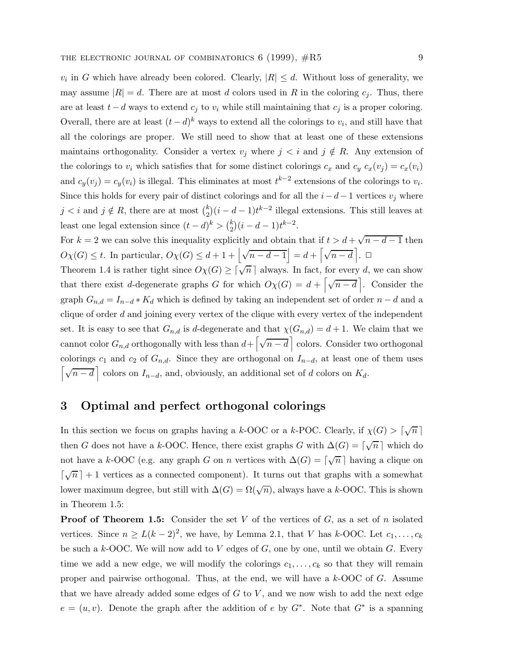$v_i$  in G which have already been colored. Clearly,  $|R| \leq d$ . Without loss of generality, we may assume  $|R| = d$ . There are at most d colors used in R in the coloring  $c_j$ . Thus, there are at least  $t - d$  ways to extend  $c_j$  to  $v_i$  while still maintaining that  $c_j$  is a proper coloring. Overall, there are at least  $(t - d)^k$  ways to extend all the colorings to  $v_i$ , and still have that all the colorings are proper. We still need to show that at least one of these extensions maintains orthogonality. Consider a vertex  $v_j$  where  $j < i$  and  $j \notin R$ . Any extension of the colorings to  $v_i$  which satisfies that for some distinct colorings  $c_x$  and  $c_y$   $c_x(v_j) = c_x(v_i)$ and  $c_y(v_j) = c_y(v_i)$  is illegal. This eliminates at most  $t^{k-2}$  extensions of the colorings to  $v_i$ . Since this holds for every pair of distinct colorings and for all the  $i-d-1$  vertices  $v_j$  where  $j < i$  and  $j \notin R$ , there are at most  $\binom{k}{2}(i - d - 1)t^{k-2}$  illegal extensions. This still leaves at least one legal extension since  $(t-d)^k > \binom{k}{2}(i-d-1)t^{k-2}$ .

For k = 2 we can solve this inequality explicitly and obtain that if  $t > d + \sqrt{n - d - 1}$  then  $O\chi(G) \leq t$ . In particular,  $O\chi(G) \leq d+1 + \left| \sqrt{n-d-1} \right| = d + \left[ \sqrt{n-d} \right]$ .

Theorem 1.4 is rather tight since  $O_{\chi}(G) \geq \lceil \sqrt{n} \rceil$  always. In fact, for every d, we can show that there exist d-degenerate graphs G for which  $O\chi(G) = d + \left[\sqrt{n-d}\right]$ . Consider the graph  $G_{n,d} = I_{n-d} * K_d$  which is defined by taking an independent set of order  $n-d$  and a clique of order  $d$  and joining every vertex of the clique with every vertex of the independent set. It is easy to see that  $G_{n,d}$  is d-degenerate and that  $\chi(G_{n,d}) = d+1$ . We claim that we cannot color  $G_{n,d}$  orthogonally with less than  $d + \left[\sqrt{n-d}\right]$  colors. Consider two orthogonal colorings  $c_1$  and  $c_2$  of  $G_{n,d}$ . Since they are orthogonal on  $I_{n-d}$ , at least one of them uses  $\left[\sqrt{n-d}\right]$  colors on  $I_{n-d}$ , and, obviously, an additional set of d colors on  $K_d$ .

### **3 Optimal and perfect orthogonal colorings**

In this section we focus on graphs having a k-OOC or a k-POC. Clearly, if  $\chi(G) > \lceil \sqrt{n} \rceil$ then G does not have a k-OOC. Hence, there exist graphs G with  $\Delta(G) = \lceil \sqrt{n} \rceil$  which do not have a k-OOC (e.g. any graph G on n vertices with  $\Delta(G) = \lceil \sqrt{n} \rceil$  having a clique on  $\lceil \sqrt{n} \rceil + 1$  vertices as a connected component). It turns out that graphs with a somewhat lower maximum degree, but still with  $\Delta(G) = \Omega(\sqrt{n})$ , always have a k-OOC. This is shown in Theorem 1.5:

**Proof of Theorem 1.5:** Consider the set V of the vertices of G, as a set of n isolated vertices. Since  $n \ge L(k-2)^2$ , we have, by Lemma 2.1, that V has k-OOC. Let  $c_1, \ldots, c_k$ be such a  $k$ -OOC. We will now add to  $V$  edges of  $G$ , one by one, until we obtain  $G$ . Every time we add a new edge, we will modify the colorings  $c_1, \ldots, c_k$  so that they will remain proper and pairwise orthogonal. Thus, at the end, we will have a k-OOC of G. Assume that we have already added some edges of  $G$  to  $V$ , and we now wish to add the next edge  $e = (u, v)$ . Denote the graph after the addition of e by  $G^*$ . Note that  $G^*$  is a spanning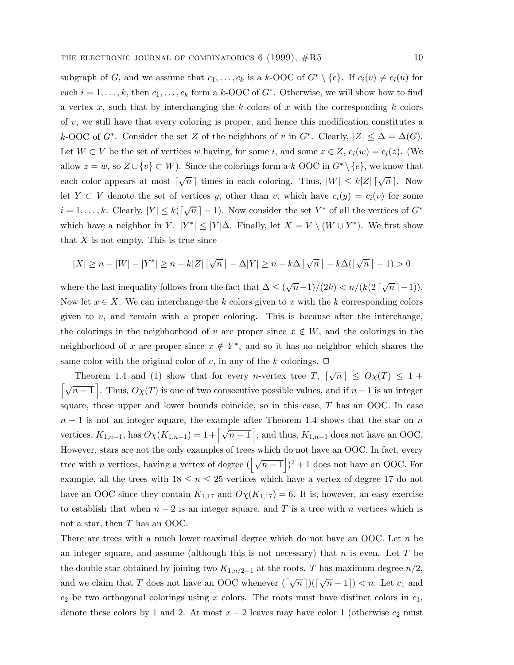subgraph of G, and we assume that  $c_1,\ldots,c_k$  is a k-OOC of  $G^* \setminus \{e\}$ . If  $c_i(v) \neq c_i(u)$  for each  $i = 1, \ldots, k$ , then  $c_1, \ldots, c_k$  form a k-OOC of  $G^*$ . Otherwise, we will show how to find a vertex x, such that by interchanging the k colors of x with the corresponding k colors of  $v$ , we still have that every coloring is proper, and hence this modification constitutes a k-OOC of G<sup>\*</sup>. Consider the set Z of the neighbors of v in G<sup>\*</sup>. Clearly,  $|Z| \leq \Delta = \Delta(G)$ . Let  $W \subset V$  be the set of vertices w having, for some i, and some  $z \in Z$ ,  $c_i(w) = c_i(z)$ . (We allow  $z = w$ , so  $Z \cup \{v\} \subset W$ ). Since the colorings form a  $k$ -OOC in  $G^* \setminus \{e\}$ , we know that each color appears at most  $\lceil \sqrt{n} \rceil$  times in each coloring. Thus,  $|W| \leq k|Z| \lceil \sqrt{n} \rceil$ . Now let Y  $\subset$  V denote the set of vertices y, other than v, which have  $c_i(y) = c_i(v)$  for some  $i = 1, \ldots, k$ . Clearly,  $|Y| \leq k(\lceil \sqrt{n} \rceil - 1)$ . Now consider the set  $Y^*$  of all the vertices of  $G^*$ which have a neighbor in Y.  $|Y^*| \leq |Y|\Delta$ . Finally, let  $X = V \setminus (W \cup Y^*)$ . We first show that  $X$  is not empty. This is true since

$$
|X| \ge n - |W| - |Y^*| \ge n - k|Z| \lceil \sqrt{n} \rceil - \Delta |Y| \ge n - k\Delta \lceil \sqrt{n} \rceil - k\Delta(\lceil \sqrt{n} \rceil - 1) > 0
$$

where the last inequality follows from the fact that  $\Delta \leq (\sqrt{n}-1)/(2k) < n/(k(2\lceil \sqrt{n} \rceil-1)).$ Now let  $x \in X$ . We can interchange the k colors given to x with the k corresponding colors given to  $v$ , and remain with a proper coloring. This is because after the interchange, the colorings in the neighborhood of v are proper since  $x \notin W$ , and the colorings in the neighborhood of x are proper since  $x \notin Y^*$ , and so it has no neighbor which shares the same color with the original color of v, in any of the k colorings.  $\Box$ 

Theorem 1.4 and (1) show that for every *n*-vertex tree  $T$ ,  $\lceil \sqrt{n} \rceil \leq O_{\mathcal{X}}(T) \leq 1 + C$  $\lceil\sqrt{n-1}\rceil$ . Thus,  $O_X(T)$  is one of two consecutive possible values, and if  $n-1$  is an integer square, those upper and lower bounds coincide, so in this case,  $T$  has an OOC. In case  $n-1$  is not an integer square, the example after Theorem 1.4 shows that the star on n vertices,  $K_{1,n-1}$ , has  $O\chi(K_{1,n-1})=1+\left\lceil\sqrt{n-1}\right\rceil$ , and thus,  $K_{1,n-1}$  does not have an OOC. However, stars are not the only examples of trees which do not have an OOC. In fact, every tree with *n* vertices, having a vertex of degree  $(\sqrt{n-1})^2 + 1$  does not have an OOC. For example, all the trees with  $18 \le n \le 25$  vertices which have a vertex of degree 17 do not have an OOC since they contain  $K_{1,17}$  and  $O\chi(K_{1,17}) = 6$ . It is, however, an easy exercise to establish that when  $n-2$  is an integer square, and T is a tree with n vertices which is not a star, then T has an OOC.

There are trees with a much lower maximal degree which do not have an OOC. Let n be an integer square, and assume (although this is not necessary) that  $n$  is even. Let  $T$  be the double star obtained by joining two  $K_{1,n/2-1}$  at the roots. T has maximum degree  $n/2$ , and we claim that T does not have an OOC whenever  $(\lceil \sqrt{n} \rceil)(\lceil \sqrt{n} - 1 \rceil) < n$ . Let  $c_1$  and  $c_2$  be two orthogonal colorings using x colors. The roots must have distinct colors in  $c_1$ , denote these colors by 1 and 2. At most  $x - 2$  leaves may have color 1 (otherwise  $c_2$  must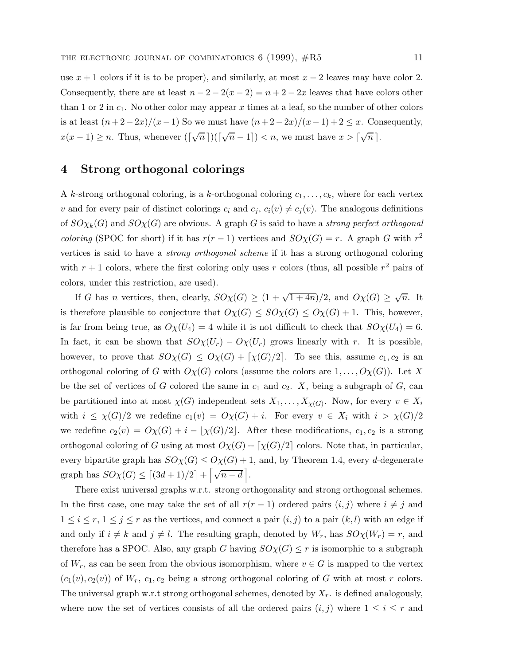use  $x + 1$  colors if it is to be proper), and similarly, at most  $x - 2$  leaves may have color 2. Consequently, there are at least  $n - 2 - 2(x - 2) = n + 2 - 2x$  leaves that have colors other than 1 or 2 in  $c_1$ . No other color may appear x times at a leaf, so the number of other colors is at least  $(n+2-2x)/(x-1)$  So we must have  $(n+2-2x)/(x-1)+2 \leq x$ . Consequently,  $x(x-1) \geq n$ . Thus, whenever  $(\lceil \sqrt{n} \rceil)(\lceil \sqrt{n} - 1 \rceil) < n$ , we must have  $x > \lceil \sqrt{n} \rceil$ .

### **4 Strong orthogonal colorings**

A k-strong orthogonal coloring, is a k-orthogonal coloring  $c_1, \ldots, c_k$ , where for each vertex v and for every pair of distinct colorings  $c_i$  and  $c_j$ ,  $c_i(v) \neq c_j(v)$ . The analogous definitions of  $SO_{Xk}(G)$  and  $SO_{X}(G)$  are obvious. A graph G is said to have a strong perfect orthogonal *coloring* (SPOC for short) if it has  $r(r-1)$  vertices and  $SO_{\chi}(G) = r$ . A graph G with  $r^2$ vertices is said to have a strong orthogonal scheme if it has a strong orthogonal coloring with  $r + 1$  colors, where the first coloring only uses r colors (thus, all possible  $r^2$  pairs of colors, under this restriction, are used).

If G has n vertices, then, clearly,  $SO_{\chi}(G) \geq (1 + \sqrt{1+4n})/2$ , and  $O_{\chi}(G) \geq \sqrt{n}$ . It is therefore plausible to conjecture that  $O\chi(G) \leq SO\chi(G) \leq O\chi(G) + 1$ . This, however, is far from being true, as  $O\chi(U_4) = 4$  while it is not difficult to check that  $SO\chi(U_4) = 6$ . In fact, it can be shown that  $SO_{\chi}(U_r) - O_{\chi}(U_r)$  grows linearly with r. It is possible, however, to prove that  $SO_{\chi}(G) \leq O_{\chi}(G) + \lceil \chi(G)/2 \rceil$ . To see this, assume  $c_1, c_2$  is an orthogonal coloring of G with  $O_{\chi}(G)$  colors (assume the colors are  $1,\ldots,O_{\chi}(G)$ ). Let X be the set of vertices of G colored the same in  $c_1$  and  $c_2$ . X, being a subgraph of G, can be partitioned into at most  $\chi(G)$  independent sets  $X_1,\ldots,X_{\chi(G)}$ . Now, for every  $v \in X_i$ with  $i \leq \chi(G)/2$  we redefine  $c_1(v) = O\chi(G) + i$ . For every  $v \in X_i$  with  $i > \chi(G)/2$ we redefine  $c_2(v) = O\chi(G) + i - \lfloor \chi(G)/2 \rfloor$ . After these modifications,  $c_1, c_2$  is a strong orthogonal coloring of G using at most  $O\chi(G) + \lceil \chi(G)/2 \rceil$  colors. Note that, in particular, every bipartite graph has  $SO_{\chi}(G) \leq O_{\chi}(G) + 1$ , and, by Theorem 1.4, every d-degenerate graph has  $SO_{\lambda}(G) \leq [(3d+1)/2] + [\sqrt{n-d}]$ .

There exist universal graphs w.r.t. strong orthogonality and strong orthogonal schemes. In the first case, one may take the set of all  $r(r-1)$  ordered pairs  $(i, j)$  where  $i \neq j$  and  $1 \leq i \leq r, 1 \leq j \leq r$  as the vertices, and connect a pair  $(i, j)$  to a pair  $(k, l)$  with an edge if and only if  $i \neq k$  and  $j \neq l$ . The resulting graph, denoted by  $W_r$ , has  $SO_{\chi}(W_r) = r$ , and therefore has a SPOC. Also, any graph G having  $SO_{X}(G) \leq r$  is isomorphic to a subgraph of  $W_r$ , as can be seen from the obvious isomorphism, where  $v \in G$  is mapped to the vertex  $(c_1(v), c_2(v))$  of  $W_r$ ,  $c_1, c_2$  being a strong orthogonal coloring of G with at most r colors. The universal graph w.r.t strong orthogonal schemes, denoted by  $X_r$ . is defined analogously, where now the set of vertices consists of all the ordered pairs  $(i,j)$  where  $1 \leq i \leq r$  and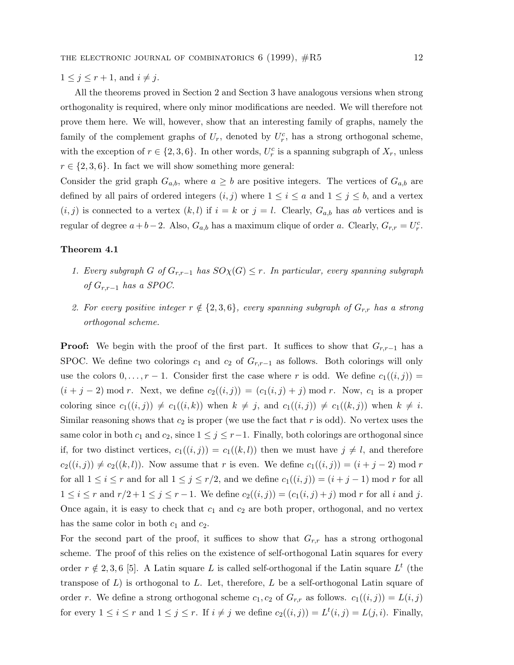$1 \leq j \leq r+1$ , and  $i \neq j$ .

All the theorems proved in Section 2 and Section 3 have analogous versions when strong orthogonality is required, where only minor modifications are needed. We will therefore not prove them here. We will, however, show that an interesting family of graphs, namely the family of the complement graphs of  $U_r$ , denoted by  $U_r^c$ , has a strong orthogonal scheme, with the exception of  $r \in \{2, 3, 6\}$ . In other words,  $U_r^c$  is a spanning subgraph of  $X_r$ , unless  $r \in \{2, 3, 6\}$ . In fact we will show something more general:

Consider the grid graph  $G_{a,b}$ , where  $a \geq b$  are positive integers. The vertices of  $G_{a,b}$  are defined by all pairs of ordered integers  $(i, j)$  where  $1 \leq i \leq a$  and  $1 \leq j \leq b$ , and a vertex  $(i,j)$  is connected to a vertex  $(k,l)$  if  $i = k$  or  $j = l$ . Clearly,  $G_{a,b}$  has ab vertices and is regular of degree  $a + b - 2$ . Also,  $G_{a,b}$  has a maximum clique of order a. Clearly,  $G_{r,r} = U_r^c$ .

#### **Theorem 4.1**

- 1. Every subgraph G of  $G_{r,r-1}$  has  $SO_{\chi}(G) \leq r$ . In particular, every spanning subgraph of  $G_{r,r-1}$  has a SPOC.
- 2. For every positive integer  $r \notin \{2, 3, 6\}$ , every spanning subgraph of  $G_{r,r}$  has a strong orthogonal scheme.

**Proof:** We begin with the proof of the first part. It suffices to show that  $G_{r,r-1}$  has a SPOC. We define two colorings  $c_1$  and  $c_2$  of  $G_{r,r-1}$  as follows. Both colorings will only use the colors  $0,\ldots,r-1$ . Consider first the case where r is odd. We define  $c_1((i,j)) =$  $(i + j - 2) \mod r$ . Next, we define  $c_2((i, j)) = (c_1(i, j) + j) \mod r$ . Now,  $c_1$  is a proper coloring since  $c_1((i, j)) \neq c_1((i, k))$  when  $k \neq j$ , and  $c_1((i, j)) \neq c_1((k, j))$  when  $k \neq i$ . Similar reasoning shows that  $c_2$  is proper (we use the fact that r is odd). No vertex uses the same color in both  $c_1$  and  $c_2$ , since  $1 \leq j \leq r-1$ . Finally, both colorings are orthogonal since if, for two distinct vertices,  $c_1((i, j)) = c_1((k, l))$  then we must have  $j \neq l$ , and therefore  $c_2((i,j)) \neq c_2((k,l))$ . Now assume that r is even. We define  $c_1((i,j)) = (i + j - 2) \text{ mod } r$ for all  $1 \leq i \leq r$  and for all  $1 \leq j \leq r/2$ , and we define  $c_1((i,j)) = (i+j-1) \mod r$  for all  $1 \le i \le r$  and  $r/2 + 1 \le j \le r - 1$ . We define  $c_2((i, j)) = (c_1(i, j) + j) \mod r$  for all i and j. Once again, it is easy to check that  $c_1$  and  $c_2$  are both proper, orthogonal, and no vertex has the same color in both  $c_1$  and  $c_2$ .

For the second part of the proof, it suffices to show that  $G_{r,r}$  has a strong orthogonal scheme. The proof of this relies on the existence of self-orthogonal Latin squares for every order  $r \notin 2, 3, 6$  [5]. A Latin square L is called self-orthogonal if the Latin square  $L^t$  (the transpose of  $L$ ) is orthogonal to  $L$ . Let, therefore,  $L$  be a self-orthogonal Latin square of order r. We define a strong orthogonal scheme  $c_1, c_2$  of  $G_{r,r}$  as follows.  $c_1((i,j)) = L(i,j)$ for every  $1 \leq i \leq r$  and  $1 \leq j \leq r$ . If  $i \neq j$  we define  $c_2((i, j)) = L^t(i, j) = L(j, i)$ . Finally,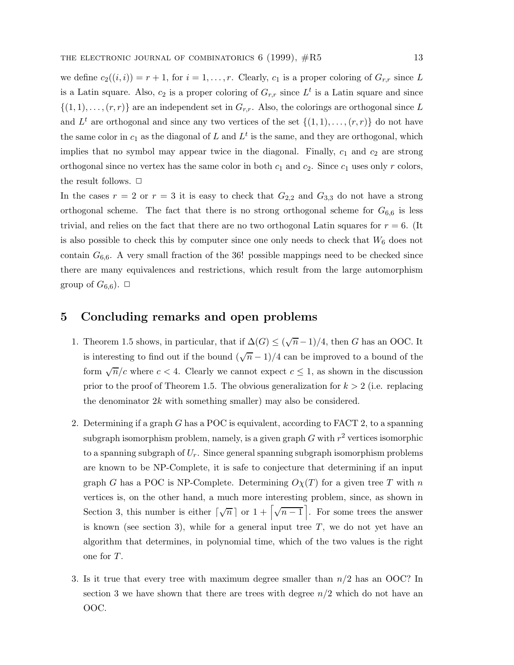we define  $c_2((i,i)) = r+1$ , for  $i = 1, \ldots, r$ . Clearly,  $c_1$  is a proper coloring of  $G_{r,r}$  since L is a Latin square. Also,  $c_2$  is a proper coloring of  $G_{r,r}$  since  $L^t$  is a Latin square and since  $\{(1,1),\ldots,(r,r)\}\$ are an independent set in  $G_{r,r}$ . Also, the colorings are orthogonal since L and  $L^t$  are orthogonal and since any two vertices of the set  $\{(1,1),\ldots,(r,r)\}\)$  do not have the same color in  $c_1$  as the diagonal of L and  $L<sup>t</sup>$  is the same, and they are orthogonal, which implies that no symbol may appear twice in the diagonal. Finally,  $c_1$  and  $c_2$  are strong orthogonal since no vertex has the same color in both  $c_1$  and  $c_2$ . Since  $c_1$  uses only r colors, the result follows.  $\Box$ 

In the cases  $r = 2$  or  $r = 3$  it is easy to check that  $G_{2,2}$  and  $G_{3,3}$  do not have a strong orthogonal scheme. The fact that there is no strong orthogonal scheme for  $G_{6,6}$  is less trivial, and relies on the fact that there are no two orthogonal Latin squares for  $r = 6$ . (It is also possible to check this by computer since one only needs to check that  $W_6$  does not contain  $G_{6,6}$ . A very small fraction of the 36! possible mappings need to be checked since there are many equivalences and restrictions, which result from the large automorphism group of  $G_{6,6}$ ).  $\Box$ 

#### **5 Concluding remarks and open problems**

- 1. Theorem 1.5 shows, in particular, that if  $\Delta(G) \leq (\sqrt{n}-1)/4$ , then G has an OOC. It is interesting to find out if the bound  $(\sqrt{n}-1)/4$  can be improved to a bound of the form  $\sqrt{n}/c$  where  $c < 4$ . Clearly we cannot expect  $c \leq 1$ , as shown in the discussion prior to the proof of Theorem 1.5. The obvious generalization for  $k > 2$  (i.e. replacing the denominator  $2k$  with something smaller) may also be considered.
- 2. Determining if a graph G has a POC is equivalent, according to FACT 2, to a spanning subgraph isomorphism problem, namely, is a given graph  $G$  with  $r^2$  vertices isomorphic to a spanning subgraph of  $U_r$ . Since general spanning subgraph isomorphism problems are known to be NP-Complete, it is safe to conjecture that determining if an input graph G has a POC is NP-Complete. Determining  $O<sub>X</sub>(T)$  for a given tree T with n vertices is, on the other hand, a much more interesting problem, since, as shown in Section 3, this number is either  $\lceil \sqrt{n} \rceil$  or  $1 + \lceil \sqrt{n-1} \rceil$ . For some trees the answer is known (see section 3), while for a general input tree  $T$ , we do not yet have an algorithm that determines, in polynomial time, which of the two values is the right one for T.
- 3. Is it true that every tree with maximum degree smaller than  $n/2$  has an OOC? In section 3 we have shown that there are trees with degree  $n/2$  which do not have an OOC.